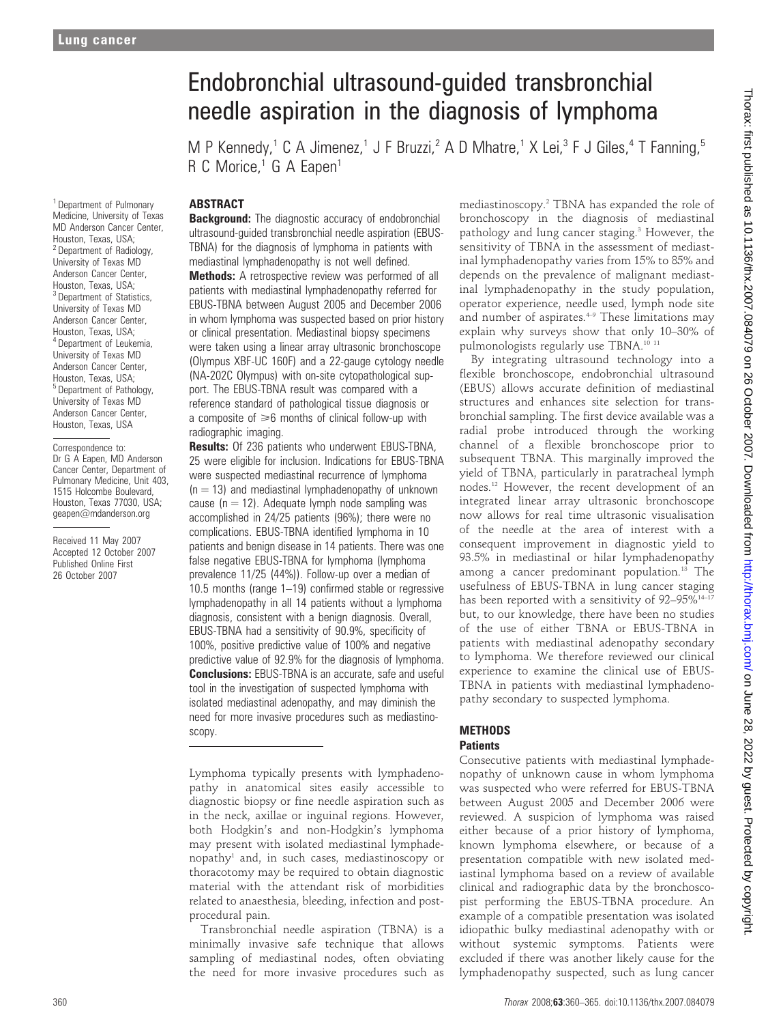# Endobronchial ultrasound-guided transbronchial needle aspiration in the diagnosis of lymphoma

M P Kennedy,<sup>1</sup> C A Jimenez,<sup>1</sup> J F Bruzzi,<sup>2</sup> A D Mhatre,<sup>1</sup> X Lei,<sup>3</sup> F J Giles,<sup>4</sup> T Fanning,<sup>5</sup> R C Morice, $1$  G A Eapen<sup>1</sup>

#### ABSTRACT

<sup>1</sup> Department of Pulmonary Medicine, University of Texas MD Anderson Cancer Center, Houston, Texas, USA; <sup>2</sup> Department of Radiology, University of Texas MD Anderson Cancer Center, Houston, Texas, USA; <sup>3</sup> Department of Statistics, University of Texas MD Anderson Cancer Center, Houston, Texas, USA; <sup>4</sup> Department of Leukemia, University of Texas MD Anderson Cancer Center, Houston, Texas, USA; <sup>5</sup> Department of Pathology, University of Texas MD Anderson Cancer Center, Houston, Texas, USA

Correspondence to: Dr G A Eapen, MD Anderson Cancer Center, Department of Pulmonary Medicine, Unit 403, 1515 Holcombe Boulevard, Houston, Texas 77030, USA; geapen@mdanderson.org

Received 11 May 2007 Accepted 12 October 2007 Published Online First 26 October 2007

**Background:** The diagnostic accuracy of endobronchial ultrasound-guided transbronchial needle aspiration (EBUS-TBNA) for the diagnosis of lymphoma in patients with mediastinal lymphadenopathy is not well defined. Methods: A retrospective review was performed of all patients with mediastinal lymphadenopathy referred for EBUS-TBNA between August 2005 and December 2006 in whom lymphoma was suspected based on prior history or clinical presentation. Mediastinal biopsy specimens were taken using a linear array ultrasonic bronchoscope (Olympus XBF-UC 160F) and a 22-gauge cytology needle (NA-202C Olympus) with on-site cytopathological support. The EBUS-TBNA result was compared with a reference standard of pathological tissue diagnosis or a composite of  $\geq 6$  months of clinical follow-up with radiographic imaging.

**Results:** Of 236 patients who underwent EBUS-TBNA, 25 were eligible for inclusion. Indications for EBUS-TBNA were suspected mediastinal recurrence of lymphoma  $(n = 13)$  and mediastinal lymphadenopathy of unknown cause ( $n = 12$ ). Adequate lymph node sampling was accomplished in 24/25 patients (96%); there were no complications. EBUS-TBNA identified lymphoma in 10 patients and benign disease in 14 patients. There was one false negative EBUS-TBNA for lymphoma (lymphoma prevalence 11/25 (44%)). Follow-up over a median of 10.5 months (range 1–19) confirmed stable or regressive lymphadenopathy in all 14 patients without a lymphoma diagnosis, consistent with a benign diagnosis. Overall, EBUS-TBNA had a sensitivity of 90.9%, specificity of 100%, positive predictive value of 100% and negative predictive value of 92.9% for the diagnosis of lymphoma. **Conclusions:** EBUS-TBNA is an accurate, safe and useful tool in the investigation of suspected lymphoma with isolated mediastinal adenopathy, and may diminish the need for more invasive procedures such as mediastinoscopy.

Lymphoma typically presents with lymphadenopathy in anatomical sites easily accessible to diagnostic biopsy or fine needle aspiration such as in the neck, axillae or inguinal regions. However, both Hodgkin's and non-Hodgkin's lymphoma may present with isolated mediastinal lymphadenopathy1 and, in such cases, mediastinoscopy or thoracotomy may be required to obtain diagnostic material with the attendant risk of morbidities related to anaesthesia, bleeding, infection and postprocedural pain.

Transbronchial needle aspiration (TBNA) is a minimally invasive safe technique that allows sampling of mediastinal nodes, often obviating the need for more invasive procedures such as

mediastinoscopy.2 TBNA has expanded the role of bronchoscopy in the diagnosis of mediastinal pathology and lung cancer staging.<sup>3</sup> However, the sensitivity of TBNA in the assessment of mediastinal lymphadenopathy varies from 15% to 85% and depends on the prevalence of malignant mediastinal lymphadenopathy in the study population, operator experience, needle used, lymph node site and number of aspirates. $4-9$  These limitations may explain why surveys show that only 10–30% of pulmonologists regularly use TBNA.<sup>10 11</sup>

By integrating ultrasound technology into a flexible bronchoscope, endobronchial ultrasound (EBUS) allows accurate definition of mediastinal structures and enhances site selection for transbronchial sampling. The first device available was a radial probe introduced through the working channel of a flexible bronchoscope prior to subsequent TBNA. This marginally improved the yield of TBNA, particularly in paratracheal lymph nodes.12 However, the recent development of an integrated linear array ultrasonic bronchoscope now allows for real time ultrasonic visualisation of the needle at the area of interest with a consequent improvement in diagnostic yield to 93.5% in mediastinal or hilar lymphadenopathy among a cancer predominant population.<sup>13</sup> The usefulness of EBUS-TBNA in lung cancer staging has been reported with a sensitivity of 92-95%<sup>14-17</sup> but, to our knowledge, there have been no studies of the use of either TBNA or EBUS-TBNA in patients with mediastinal adenopathy secondary to lymphoma. We therefore reviewed our clinical experience to examine the clinical use of EBUS-TBNA in patients with mediastinal lymphadenopathy secondary to suspected lymphoma.

#### **METHODS Patients**

Consecutive patients with mediastinal lymphadenopathy of unknown cause in whom lymphoma was suspected who were referred for EBUS-TBNA between August 2005 and December 2006 were reviewed. A suspicion of lymphoma was raised either because of a prior history of lymphoma, known lymphoma elsewhere, or because of a presentation compatible with new isolated mediastinal lymphoma based on a review of available clinical and radiographic data by the bronchoscopist performing the EBUS-TBNA procedure. An example of a compatible presentation was isolated idiopathic bulky mediastinal adenopathy with or without systemic symptoms. Patients were excluded if there was another likely cause for the lymphadenopathy suspected, such as lung cancer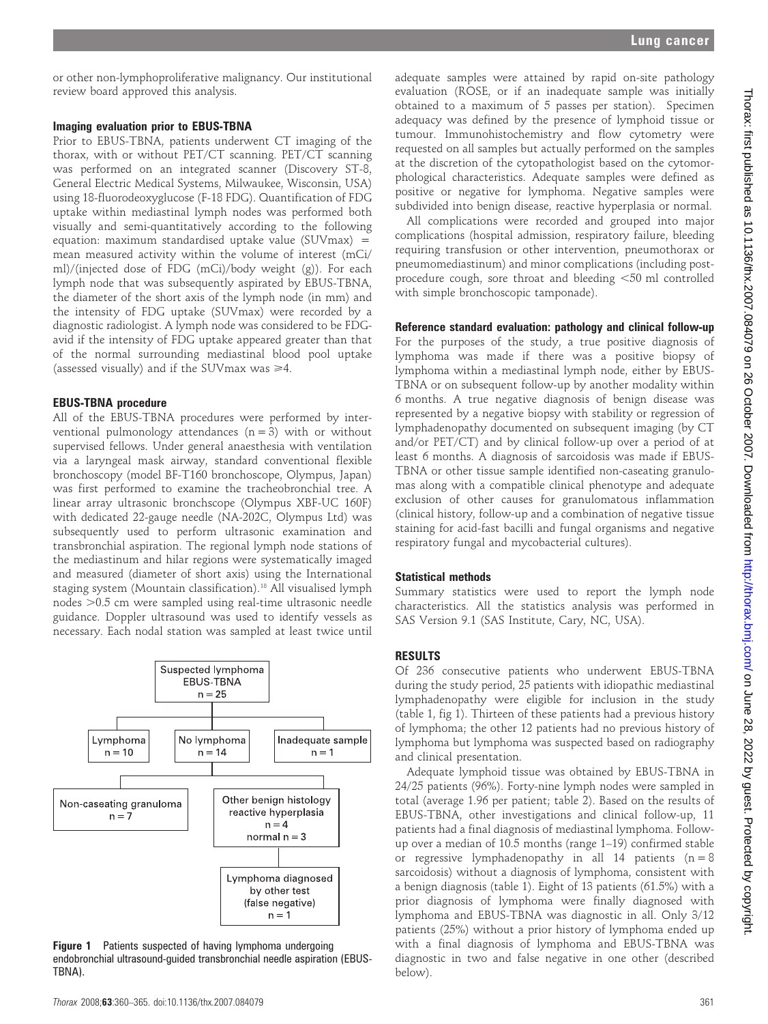or other non-lymphoproliferative malignancy. Our institutional review board approved this analysis.

#### Imaging evaluation prior to EBUS-TBNA

Prior to EBUS-TBNA, patients underwent CT imaging of the thorax, with or without PET/CT scanning. PET/CT scanning was performed on an integrated scanner (Discovery ST-8, General Electric Medical Systems, Milwaukee, Wisconsin, USA) using 18-fluorodeoxyglucose (F-18 FDG). Quantification of FDG uptake within mediastinal lymph nodes was performed both visually and semi-quantitatively according to the following equation: maximum standardised uptake value (SUVmax) = mean measured activity within the volume of interest (mCi/ ml)/(injected dose of FDG (mCi)/body weight (g)). For each lymph node that was subsequently aspirated by EBUS-TBNA, the diameter of the short axis of the lymph node (in mm) and the intensity of FDG uptake (SUVmax) were recorded by a diagnostic radiologist. A lymph node was considered to be FDGavid if the intensity of FDG uptake appeared greater than that of the normal surrounding mediastinal blood pool uptake (assessed visually) and if the SUV max was  $\geq 4$ .

#### EBUS-TBNA procedure

All of the EBUS-TBNA procedures were performed by interventional pulmonology attendances  $(n = 3)$  with or without supervised fellows. Under general anaesthesia with ventilation via a laryngeal mask airway, standard conventional flexible bronchoscopy (model BF-T160 bronchoscope, Olympus, Japan) was first performed to examine the tracheobronchial tree. A linear array ultrasonic bronchscope (Olympus XBF-UC 160F) with dedicated 22-gauge needle (NA-202C, Olympus Ltd) was subsequently used to perform ultrasonic examination and transbronchial aspiration. The regional lymph node stations of the mediastinum and hilar regions were systematically imaged and measured (diameter of short axis) using the International staging system (Mountain classification).18 All visualised lymph nodes > 0.5 cm were sampled using real-time ultrasonic needle guidance. Doppler ultrasound was used to identify vessels as necessary. Each nodal station was sampled at least twice until



**Figure 1** Patients suspected of having lymphoma undergoing endobronchial ultrasound-guided transbronchial needle aspiration (EBUS-TBNA).

adequate samples were attained by rapid on-site pathology evaluation (ROSE, or if an inadequate sample was initially obtained to a maximum of 5 passes per station). Specimen adequacy was defined by the presence of lymphoid tissue or tumour. Immunohistochemistry and flow cytometry were requested on all samples but actually performed on the samples at the discretion of the cytopathologist based on the cytomorphological characteristics. Adequate samples were defined as positive or negative for lymphoma. Negative samples were subdivided into benign disease, reactive hyperplasia or normal.

All complications were recorded and grouped into major complications (hospital admission, respiratory failure, bleeding requiring transfusion or other intervention, pneumothorax or pneumomediastinum) and minor complications (including postprocedure cough, sore throat and bleeding  $<$ 50 ml controlled with simple bronchoscopic tamponade).

#### Reference standard evaluation: pathology and clinical follow-up

For the purposes of the study, a true positive diagnosis of lymphoma was made if there was a positive biopsy of lymphoma within a mediastinal lymph node, either by EBUS-TBNA or on subsequent follow-up by another modality within 6 months. A true negative diagnosis of benign disease was represented by a negative biopsy with stability or regression of lymphadenopathy documented on subsequent imaging (by CT and/or PET/CT) and by clinical follow-up over a period of at least 6 months. A diagnosis of sarcoidosis was made if EBUS-TBNA or other tissue sample identified non-caseating granulomas along with a compatible clinical phenotype and adequate exclusion of other causes for granulomatous inflammation (clinical history, follow-up and a combination of negative tissue staining for acid-fast bacilli and fungal organisms and negative respiratory fungal and mycobacterial cultures).

#### Statistical methods

Summary statistics were used to report the lymph node characteristics. All the statistics analysis was performed in SAS Version 9.1 (SAS Institute, Cary, NC, USA).

#### RESULTS

Of 236 consecutive patients who underwent EBUS-TBNA during the study period, 25 patients with idiopathic mediastinal lymphadenopathy were eligible for inclusion in the study (table 1, fig 1). Thirteen of these patients had a previous history of lymphoma; the other 12 patients had no previous history of lymphoma but lymphoma was suspected based on radiography and clinical presentation.

Adequate lymphoid tissue was obtained by EBUS-TBNA in 24/25 patients (96%). Forty-nine lymph nodes were sampled in total (average 1.96 per patient; table 2). Based on the results of EBUS-TBNA, other investigations and clinical follow-up, 11 patients had a final diagnosis of mediastinal lymphoma. Followup over a median of 10.5 months (range 1–19) confirmed stable or regressive lymphadenopathy in all 14 patients  $(n = 8)$ sarcoidosis) without a diagnosis of lymphoma, consistent with a benign diagnosis (table 1). Eight of 13 patients (61.5%) with a prior diagnosis of lymphoma were finally diagnosed with lymphoma and EBUS-TBNA was diagnostic in all. Only 3/12 patients (25%) without a prior history of lymphoma ended up with a final diagnosis of lymphoma and EBUS-TBNA was diagnostic in two and false negative in one other (described below).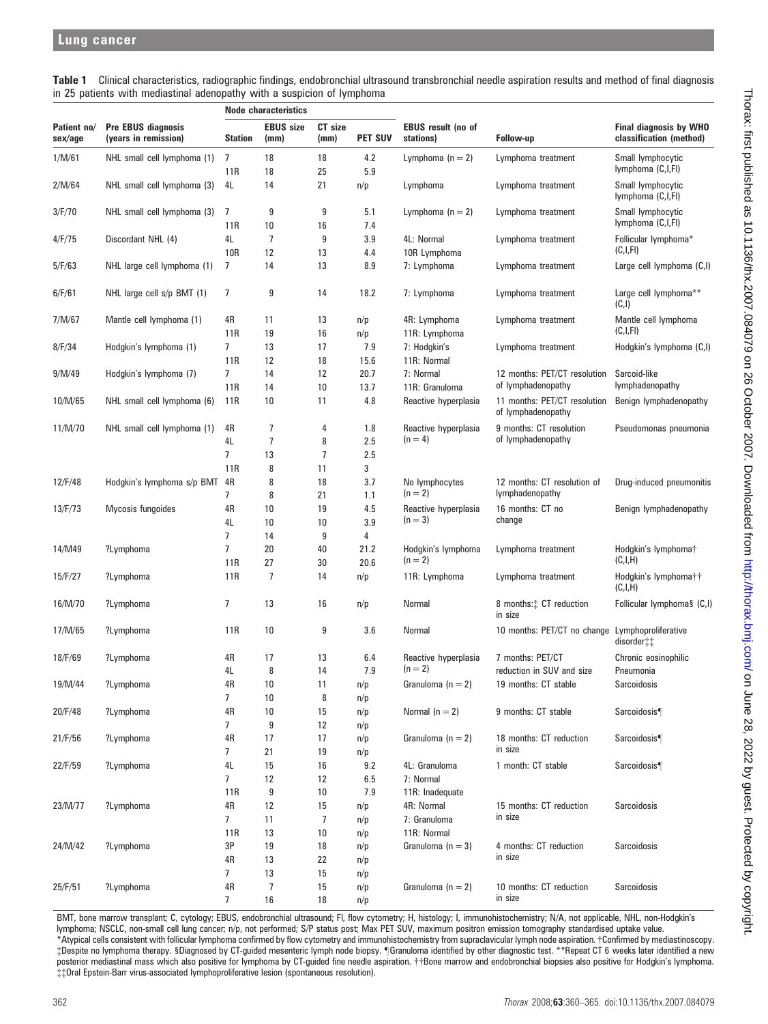Table 1 Clinical characteristics, radiographic findings, endobronchial ultrasound transbronchial needle aspiration results and method of final diagnosis in 25 patients with mediastinal adenopathy with a suspicion of lymphoma

| Patient no/<br>sex/age | <b>Pre EBUS diagnosis</b><br>(years in remission) | <b>Node characteristics</b> |                          |                 |                |                                 |                                                    |                                                          |
|------------------------|---------------------------------------------------|-----------------------------|--------------------------|-----------------|----------------|---------------------------------|----------------------------------------------------|----------------------------------------------------------|
|                        |                                                   | <b>Station</b>              | <b>EBUS size</b><br>(mm) | CT size<br>(mm) | <b>PET SUV</b> | EBUS result (no of<br>stations) | Follow-up                                          | <b>Final diagnosis by WHO</b><br>classification (method) |
| 1/M/61                 | NHL small cell lymphoma (1)                       | 7<br>11R                    | 18<br>18                 | 18<br>25        | 4.2<br>5.9     | Lymphoma $(n = 2)$              | Lymphoma treatment                                 | Small lymphocytic<br>lymphoma (C,I,FI)                   |
| 2/M/64                 | NHL small cell lymphoma (3)                       | 4L                          | 14                       | 21              | n/p            | Lymphoma                        | Lymphoma treatment                                 | Small lymphocytic<br>lymphoma (C,I,FI)                   |
| 3/F/70                 | NHL small cell lymphoma (3)                       | 7<br>11 <sub>R</sub>        | 9<br>10                  | 9<br>16         | 5.1<br>7.4     | Lymphoma $(n = 2)$              | Lymphoma treatment                                 | Small lymphocytic<br>lymphoma (C,I,FI)                   |
| 4/F/75                 | Discordant NHL (4)                                | 4L<br>10R                   | 7<br>12                  | 9<br>13         | 3.9<br>4.4     | 4L: Normal<br>10R Lymphoma      | Lymphoma treatment                                 | Follicular lymphoma*<br>(C,I,FI)                         |
| 5/F/63                 | NHL large cell lymphoma (1)                       | 7                           | 14                       | 13              | 8.9            | 7: Lymphoma                     | Lymphoma treatment                                 | Large cell lymphoma (C,I)                                |
| 6/F/61                 | NHL large cell $s/p$ BMT $(1)$                    | 7                           | 9                        | 14              | 18.2           | 7: Lymphoma                     | Lymphoma treatment                                 | Large cell lymphoma**<br>(C,I)                           |
| 7/M/67                 | Mantle cell lymphoma (1)                          | 4R<br>11R                   | 11<br>19                 | 13<br>16        | n/p<br>n/p     | 4R: Lymphoma<br>11R: Lymphoma   | Lymphoma treatment                                 | Mantle cell lymphoma<br>(C,I,FI)                         |
| 8/F/34                 | Hodgkin's lymphoma (1)                            | $\overline{7}$              | 13                       | 17              | 7.9            | 7: Hodgkin's                    | Lymphoma treatment                                 | Hodgkin's lymphoma (C,I)                                 |
|                        |                                                   | 11R                         | 12                       | 18              | 15.6           | 11R: Normal                     |                                                    |                                                          |
| 9/M/49                 | Hodgkin's lymphoma (7)                            | $\overline{7}$              | 14                       | 12              | 20.7           | 7: Normal                       | 12 months: PET/CT resolution                       | Sarcoid-like                                             |
|                        |                                                   | 11R                         | 14                       | 10              | 13.7           | 11R: Granuloma                  | of lymphadenopathy                                 | lymphadenopathy                                          |
| 10/M/65                | NHL small cell lymphoma (6)                       | 11R                         | 10                       | 11              | 4.8            | Reactive hyperplasia            | 11 months: PET/CT resolution<br>of lymphadenopathy | Benign lymphadenopathy                                   |
| 11/M/70                | NHL small cell lymphoma (1)                       | 4R                          | 7                        | 4               | 1.8            | Reactive hyperplasia            | 9 months: CT resolution                            | Pseudomonas pneumonia                                    |
|                        |                                                   | 4L                          | 7                        | 8               | 2.5            | $(n = 4)$                       | of lymphadenopathy                                 |                                                          |
|                        |                                                   | $\overline{7}$              | 13                       | 7               | 2.5            |                                 |                                                    |                                                          |
|                        |                                                   | 11R                         | 8                        | 11              | 3              |                                 |                                                    |                                                          |
| 12/F/48                | Hodgkin's lymphoma s/p BMT                        | 4R<br>7                     | 8<br>8                   | 18<br>21        | 3.7<br>1.1     | No lymphocytes<br>$(n = 2)$     | 12 months: CT resolution of<br>lymphadenopathy     | Drug-induced pneumonitis                                 |
| 13/F/73                | Mycosis fungoides                                 | 4R                          | 10                       | 19              | 4.5            | Reactive hyperplasia            | 16 months: CT no                                   | Benign lymphadenopathy                                   |
|                        |                                                   | 4L                          | 10                       | 10              | 3.9            | $(n = 3)$                       | change                                             |                                                          |
|                        |                                                   | 7                           | 14                       | 9               | 4              |                                 |                                                    |                                                          |
| 14/M49                 | ?Lymphoma                                         | 7                           | 20                       | 40              | 21.2           | Hodgkin's lymphoma              | Lymphoma treatment                                 | Hodgkin's lymphoma†                                      |
|                        |                                                   | 11R                         | 27                       | 30              | 20.6           | $(n = 2)$                       |                                                    | (C,I,H)                                                  |
| 15/F/27                | ?Lymphoma                                         | 11R                         | $\overline{7}$           | 14              | n/p            | 11R: Lymphoma                   | Lymphoma treatment                                 | Hodgkin's lymphoma††<br>(C,I,H)                          |
| 16/M/70                | ?Lymphoma                                         | 7                           | 13                       | 16              | n/p            | Normal                          | 8 months: CT reduction<br>in size                  | Follicular lymphoma§ (C,I)                               |
| 17/M/65                | ?Lymphoma                                         | 11R                         | 10                       | 9               | 3.6            | Normal                          | 10 months: PET/CT no change                        | Lymphoproliferative<br>disorder‡‡                        |
| 18/F/69                | ?Lymphoma                                         | 4R                          | 17                       | 13              | 6.4            | Reactive hyperplasia            | 7 months: PET/CT                                   | Chronic eosinophilic                                     |
|                        |                                                   | 4L                          | 8                        | 14              | 7.9            | $(n = 2)$                       | reduction in SUV and size                          | Pneumonia                                                |
| 19/M/44                | ?Lymphoma                                         | 4R                          | 10                       | 11              | n/p            | Granuloma $(n = 2)$             | 19 months: CT stable                               | Sarcoidosis                                              |
|                        |                                                   | 7                           | 10                       | 8               | n/p            |                                 |                                                    |                                                          |
| 20/F/48                | ?Lymphoma                                         | 4R                          | 10                       | 15              | n/p            | Normal $(n = 2)$                | 9 months: CT stable                                | Sarcoidosis <sup>¶</sup>                                 |
|                        |                                                   | 7                           | 9                        | 12              | n/p            |                                 |                                                    |                                                          |
| 21/F/56                | ?Lymphoma                                         | 4R                          | 17                       | 17              | n/p            | Granuloma $(n = 2)$             | 18 months: CT reduction                            | Sarcoidosis <sup>¶</sup>                                 |
|                        |                                                   | 7                           | 21                       | 19              | n/p            |                                 | in size                                            |                                                          |
| 22/F/59                | ?Lymphoma                                         | 4L                          | 15                       | 16              | 9.2            | 4L: Granuloma                   | 1 month: CT stable                                 | Sarcoidosis <sup>¶</sup>                                 |
|                        |                                                   | $\overline{7}$              | 12                       | 12              | 6.5            | 7: Normal                       |                                                    |                                                          |
| 23/M/77                | ?Lymphoma                                         | 11R<br>4R                   | 9<br>12                  | 10<br>15        | 7.9            | 11R: Inadequate<br>4R: Normal   | 15 months: CT reduction                            | Sarcoidosis                                              |
|                        |                                                   | $\overline{7}$              | 11                       | 7               | n/p<br>n/p     | 7: Granuloma                    | in size                                            |                                                          |
|                        |                                                   | 11R                         | 13                       | 10              | n/p            | 11R: Normal                     |                                                    |                                                          |
| 24/M/42                | ?Lymphoma                                         | 3P                          | 19                       | 18              | n/p            | Granuloma $(n = 3)$             | 4 months: CT reduction                             | Sarcoidosis                                              |
|                        |                                                   | 4R                          | 13                       | 22              | n/p            |                                 | in size                                            |                                                          |
|                        |                                                   | $\overline{7}$              | 13                       | 15              | n/p            |                                 |                                                    |                                                          |
| 25/F/51                | ?Lymphoma                                         | 4R                          | 7                        | 15              | n/p            | Granuloma $(n = 2)$             | 10 months: CT reduction                            | Sarcoidosis                                              |
|                        |                                                   | $\overline{7}$              | 16                       | 18              | n/p            |                                 | in size                                            |                                                          |

BMT, bone marrow transplant; C, cytology; EBUS, endobronchial ultrasound; Fl, flow cytometry; H, histology; I, immunohistochemistry; N/A, not applicable, NHL, non-Hodgkin's lymphoma; NSCLC, non-small cell lung cancer; n/p, not performed; S/P status post; Max PET SUV, maximum positron emission tomography standardised uptake value. \*Atypical cells consistent with follicular lymphoma confirmed by flow cytometry and immunohistochemistry from supraclavicular lymph node aspiration. {Confirmed by mediastinoscopy. {Despite no lymphoma therapy. 1Diagnosed by CT-guided mesenteric lymph node biopsy. "Granuloma identified by other diagnostic test. \*\*Repeat CT 6 weeks later identified a new posterior mediastinal mass which also positive for lymphoma by CT-guided fine needle aspiration.  $\dagger\beta$ one marrow and endobronchial biopsies also positive for Hodgkin's lymphoma. {{Oral Epstein-Barr virus-associated lymphoproliferative lesion (spontaneous resolution).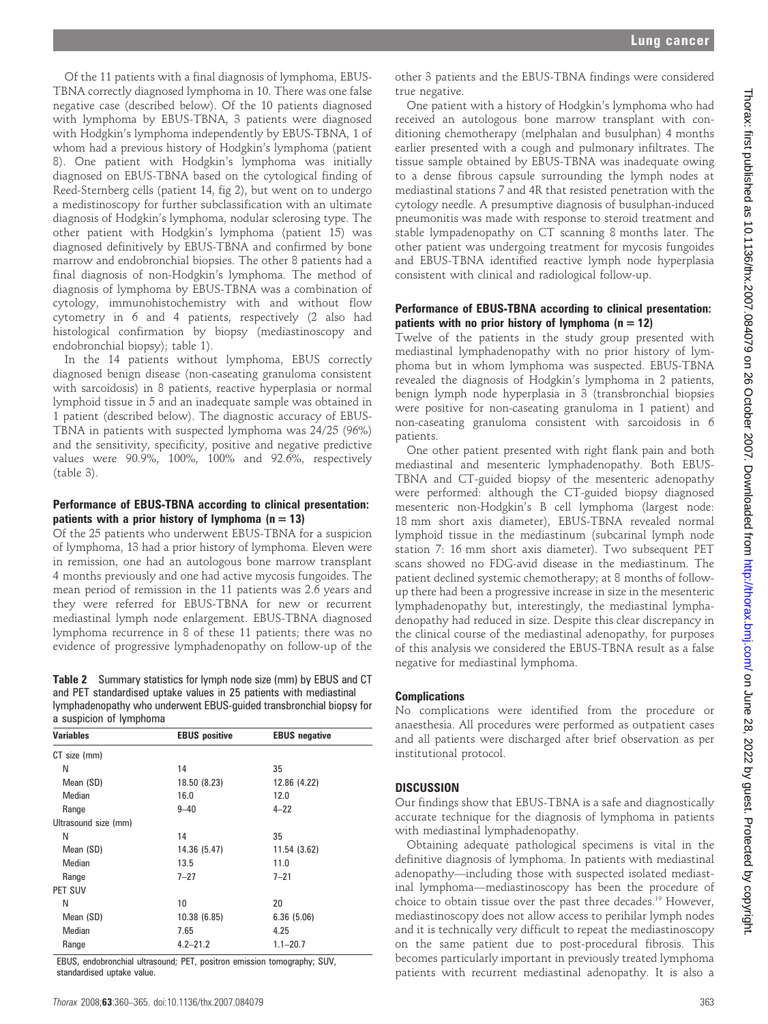Of the 11 patients with a final diagnosis of lymphoma, EBUS-TBNA correctly diagnosed lymphoma in 10. There was one false negative case (described below). Of the 10 patients diagnosed with lymphoma by EBUS-TBNA, 3 patients were diagnosed with Hodgkin's lymphoma independently by EBUS-TBNA, 1 of whom had a previous history of Hodgkin's lymphoma (patient 8). One patient with Hodgkin's lymphoma was initially diagnosed on EBUS-TBNA based on the cytological finding of Reed-Sternberg cells (patient 14, fig 2), but went on to undergo a medistinoscopy for further subclassification with an ultimate diagnosis of Hodgkin's lymphoma, nodular sclerosing type. The other patient with Hodgkin's lymphoma (patient 15) was diagnosed definitively by EBUS-TBNA and confirmed by bone marrow and endobronchial biopsies. The other 8 patients had a final diagnosis of non-Hodgkin's lymphoma. The method of diagnosis of lymphoma by EBUS-TBNA was a combination of cytology, immunohistochemistry with and without flow cytometry in 6 and 4 patients, respectively (2 also had histological confirmation by biopsy (mediastinoscopy and endobronchial biopsy); table 1).

In the 14 patients without lymphoma, EBUS correctly diagnosed benign disease (non-caseating granuloma consistent with sarcoidosis) in 8 patients, reactive hyperplasia or normal lymphoid tissue in 5 and an inadequate sample was obtained in 1 patient (described below). The diagnostic accuracy of EBUS-TBNA in patients with suspected lymphoma was 24/25 (96%) and the sensitivity, specificity, positive and negative predictive values were 90.9%, 100%, 100% and 92.6%, respectively (table 3).

#### Performance of EBUS-TBNA according to clinical presentation: patients with a prior history of lymphoma  $(n = 13)$

Of the 25 patients who underwent EBUS-TBNA for a suspicion of lymphoma, 13 had a prior history of lymphoma. Eleven were in remission, one had an autologous bone marrow transplant 4 months previously and one had active mycosis fungoides. The mean period of remission in the 11 patients was 2.6 years and they were referred for EBUS-TBNA for new or recurrent mediastinal lymph node enlargement. EBUS-TBNA diagnosed lymphoma recurrence in 8 of these 11 patients; there was no evidence of progressive lymphadenopathy on follow-up of the

Table 2 Summary statistics for lymph node size (mm) by EBUS and CT and PET standardised uptake values in 25 patients with mediastinal lymphadenopathy who underwent EBUS-guided transbronchial biopsy for a suspicion of lymphoma

| <b>EBUS</b> positive | <b>EBUS</b> negative |
|----------------------|----------------------|
|                      |                      |
| 14                   | 35                   |
| 18.50 (8.23)         | 12.86 (4.22)         |
| 16.0                 | 12.0                 |
| $9 - 40$             | $4 - 22$             |
|                      |                      |
| 14                   | 35                   |
| 14.36 (5.47)         | 11.54 (3.62)         |
| 13.5                 | 11.0                 |
| $7 - 27$             | $7 - 21$             |
|                      |                      |
| 10                   | 20                   |
| 10.38 (6.85)         | 6.36(5.06)           |
| 7.65                 | 4.25                 |
| $4.2 - 21.2$         | $1.1 - 20.7$         |
|                      |                      |

EBUS, endobronchial ultrasound; PET, positron emission tomography; SUV, standardised uptake value.

other 3 patients and the EBUS-TBNA findings were considered true negative.

One patient with a history of Hodgkin's lymphoma who had received an autologous bone marrow transplant with conditioning chemotherapy (melphalan and busulphan) 4 months earlier presented with a cough and pulmonary infiltrates. The tissue sample obtained by EBUS-TBNA was inadequate owing to a dense fibrous capsule surrounding the lymph nodes at mediastinal stations 7 and 4R that resisted penetration with the cytology needle. A presumptive diagnosis of busulphan-induced pneumonitis was made with response to steroid treatment and stable lympadenopathy on CT scanning 8 months later. The other patient was undergoing treatment for mycosis fungoides and EBUS-TBNA identified reactive lymph node hyperplasia consistent with clinical and radiological follow-up.

#### Performance of EBUS-TBNA according to clinical presentation: patients with no prior history of lymphoma  $(n = 12)$

Twelve of the patients in the study group presented with mediastinal lymphadenopathy with no prior history of lymphoma but in whom lymphoma was suspected. EBUS-TBNA revealed the diagnosis of Hodgkin's lymphoma in 2 patients, benign lymph node hyperplasia in 3 (transbronchial biopsies were positive for non-caseating granuloma in 1 patient) and non-caseating granuloma consistent with sarcoidosis in 6 patients.

One other patient presented with right flank pain and both mediastinal and mesenteric lymphadenopathy. Both EBUS-TBNA and CT-guided biopsy of the mesenteric adenopathy were performed: although the CT-guided biopsy diagnosed mesenteric non-Hodgkin's B cell lymphoma (largest node: 18 mm short axis diameter), EBUS-TBNA revealed normal lymphoid tissue in the mediastinum (subcarinal lymph node station 7: 16 mm short axis diameter). Two subsequent PET scans showed no FDG-avid disease in the mediastinum. The patient declined systemic chemotherapy; at 8 months of followup there had been a progressive increase in size in the mesenteric lymphadenopathy but, interestingly, the mediastinal lymphadenopathy had reduced in size. Despite this clear discrepancy in the clinical course of the mediastinal adenopathy, for purposes of this analysis we considered the EBUS-TBNA result as a false negative for mediastinal lymphoma.

#### **Complications**

No complications were identified from the procedure or anaesthesia. All procedures were performed as outpatient cases and all patients were discharged after brief observation as per institutional protocol.

#### DISCUSSION

Our findings show that EBUS-TBNA is a safe and diagnostically accurate technique for the diagnosis of lymphoma in patients with mediastinal lymphadenopathy.

Obtaining adequate pathological specimens is vital in the definitive diagnosis of lymphoma. In patients with mediastinal adenopathy—including those with suspected isolated mediastinal lymphoma—mediastinoscopy has been the procedure of choice to obtain tissue over the past three decades.19 However, mediastinoscopy does not allow access to perihilar lymph nodes and it is technically very difficult to repeat the mediastinoscopy on the same patient due to post-procedural fibrosis. This becomes particularly important in previously treated lymphoma patients with recurrent mediastinal adenopathy. It is also a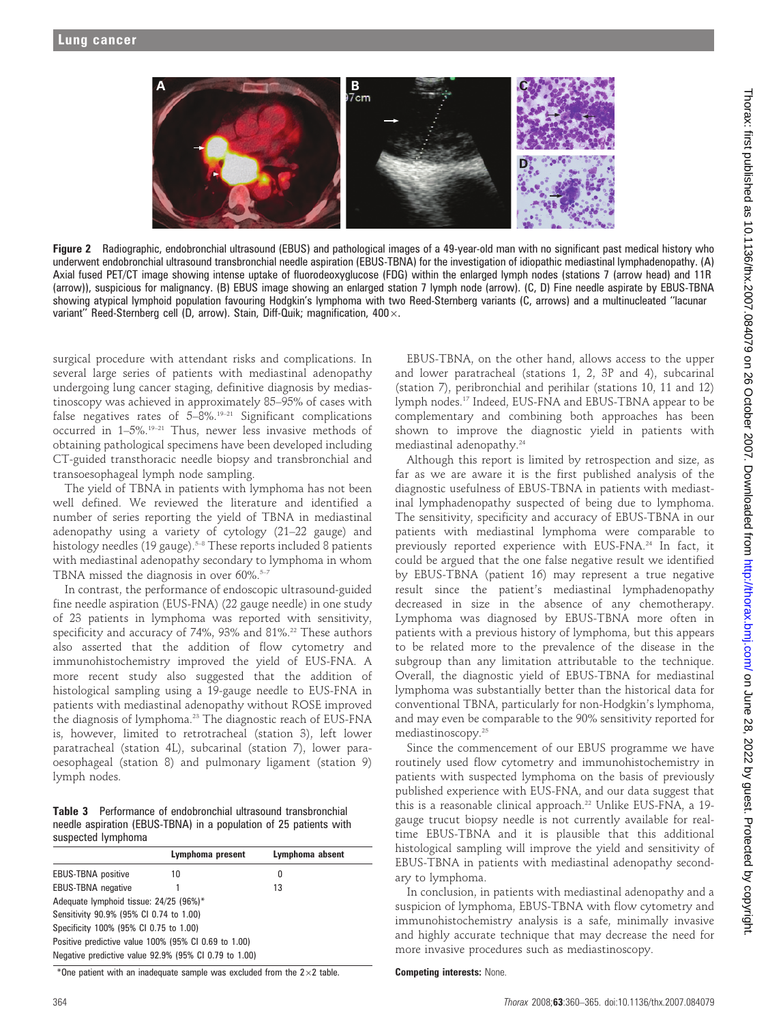

Figure 2 Radiographic, endobronchial ultrasound (EBUS) and pathological images of a 49-year-old man with no significant past medical history who underwent endobronchial ultrasound transbronchial needle aspiration (EBUS-TBNA) for the investigation of idiopathic mediastinal lymphadenopathy. (A) Axial fused PET/CT image showing intense uptake of fluorodeoxyglucose (FDG) within the enlarged lymph nodes (stations 7 (arrow head) and 11R (arrow)), suspicious for malignancy. (B) EBUS image showing an enlarged station 7 lymph node (arrow). (C, D) Fine needle aspirate by EBUS-TBNA showing atypical lymphoid population favouring Hodgkin's lymphoma with two Reed-Sternberg variants (C, arrows) and a multinucleated ''lacunar variant" Reed-Sternberg cell (D, arrow). Stain, Diff-Quik; magnification, 400 x.

surgical procedure with attendant risks and complications. In several large series of patients with mediastinal adenopathy undergoing lung cancer staging, definitive diagnosis by mediastinoscopy was achieved in approximately 85–95% of cases with false negatives rates of  $5-8\%$ .<sup>19-21</sup> Significant complications occurred in 1-5%.<sup>19-21</sup> Thus, newer less invasive methods of obtaining pathological specimens have been developed including CT-guided transthoracic needle biopsy and transbronchial and transoesophageal lymph node sampling.

The yield of TBNA in patients with lymphoma has not been well defined. We reviewed the literature and identified a number of series reporting the yield of TBNA in mediastinal adenopathy using a variety of cytology (21–22 gauge) and histology needles (19 gauge).<sup>5-8</sup> These reports included 8 patients with mediastinal adenopathy secondary to lymphoma in whom TBNA missed the diagnosis in over  $60\%$ <sup>5-7</sup>

In contrast, the performance of endoscopic ultrasound-guided fine needle aspiration (EUS-FNA) (22 gauge needle) in one study of 23 patients in lymphoma was reported with sensitivity, specificity and accuracy of 74%, 93% and 81%.<sup>22</sup> These authors also asserted that the addition of flow cytometry and immunohistochemistry improved the yield of EUS-FNA. A more recent study also suggested that the addition of histological sampling using a 19-gauge needle to EUS-FNA in patients with mediastinal adenopathy without ROSE improved the diagnosis of lymphoma.<sup>23</sup> The diagnostic reach of EUS-FNA is, however, limited to retrotracheal (station 3), left lower paratracheal (station 4L), subcarinal (station 7), lower paraoesophageal (station 8) and pulmonary ligament (station 9) lymph nodes.

Table 3 Performance of endobronchial ultrasound transbronchial needle aspiration (EBUS-TBNA) in a population of 25 patients with suspected lymphoma

|                                                       | Lymphoma present | Lymphoma absent |  |  |  |  |  |
|-------------------------------------------------------|------------------|-----------------|--|--|--|--|--|
| <b>EBUS-TBNA</b> positive                             | 10               | 0               |  |  |  |  |  |
| <b>EBUS-TBNA</b> negative                             |                  | 13              |  |  |  |  |  |
| Adequate lymphoid tissue: 24/25 (96%)*                |                  |                 |  |  |  |  |  |
| Sensitivity 90.9% (95% CI 0.74 to 1.00)               |                  |                 |  |  |  |  |  |
| Specificity 100% (95% CI 0.75 to 1.00)                |                  |                 |  |  |  |  |  |
| Positive predictive value 100% (95% CI 0.69 to 1.00)  |                  |                 |  |  |  |  |  |
| Negative predictive value 92.9% (95% CI 0.79 to 1.00) |                  |                 |  |  |  |  |  |

\*One patient with an inadequate sample was excluded from the  $2\times2$  table.

EBUS-TBNA, on the other hand, allows access to the upper and lower paratracheal (stations 1, 2, 3P and 4), subcarinal (station 7), peribronchial and perihilar (stations 10, 11 and 12) lymph nodes.17 Indeed, EUS-FNA and EBUS-TBNA appear to be complementary and combining both approaches has been shown to improve the diagnostic yield in patients with mediastinal adenopathy.24

Although this report is limited by retrospection and size, as far as we are aware it is the first published analysis of the diagnostic usefulness of EBUS-TBNA in patients with mediastinal lymphadenopathy suspected of being due to lymphoma. The sensitivity, specificity and accuracy of EBUS-TBNA in our patients with mediastinal lymphoma were comparable to previously reported experience with EUS-FNA.24 In fact, it could be argued that the one false negative result we identified by EBUS-TBNA (patient 16) may represent a true negative result since the patient's mediastinal lymphadenopathy decreased in size in the absence of any chemotherapy. Lymphoma was diagnosed by EBUS-TBNA more often in patients with a previous history of lymphoma, but this appears to be related more to the prevalence of the disease in the subgroup than any limitation attributable to the technique. Overall, the diagnostic yield of EBUS-TBNA for mediastinal lymphoma was substantially better than the historical data for conventional TBNA, particularly for non-Hodgkin's lymphoma, and may even be comparable to the 90% sensitivity reported for mediastinoscopy.25

Since the commencement of our EBUS programme we have routinely used flow cytometry and immunohistochemistry in patients with suspected lymphoma on the basis of previously published experience with EUS-FNA, and our data suggest that this is a reasonable clinical approach.<sup>22</sup> Unlike EUS-FNA, a 19gauge trucut biopsy needle is not currently available for realtime EBUS-TBNA and it is plausible that this additional histological sampling will improve the yield and sensitivity of EBUS-TBNA in patients with mediastinal adenopathy secondary to lymphoma.

In conclusion, in patients with mediastinal adenopathy and a suspicion of lymphoma, EBUS-TBNA with flow cytometry and immunohistochemistry analysis is a safe, minimally invasive and highly accurate technique that may decrease the need for more invasive procedures such as mediastinoscopy.

Competing interests: None.